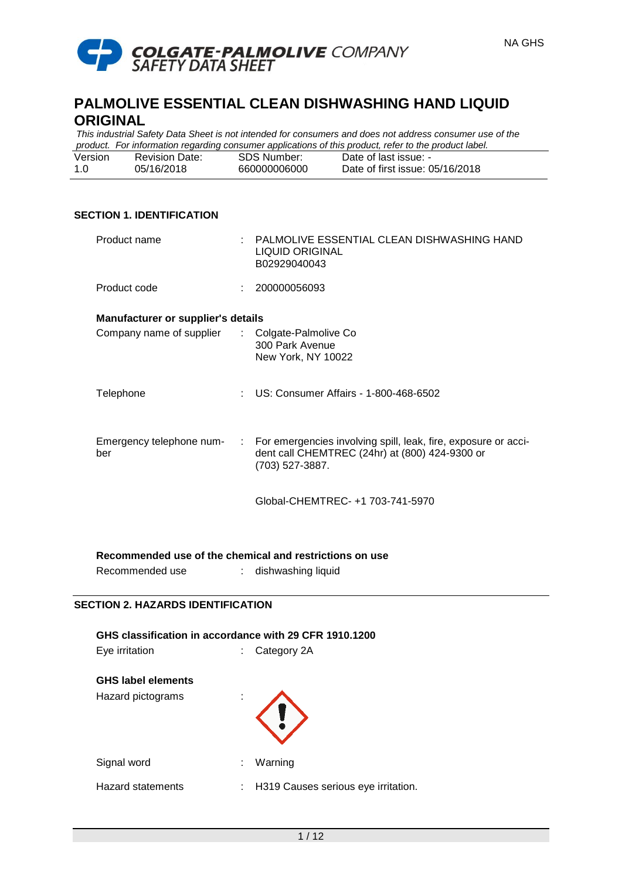

*This industrial Safety Data Sheet is not intended for consumers and does not address consumer use of the product. For information regarding consumer applications of this product, refer to the product label.*

| Version | <b>Revision Date:</b> | <b>SDS Number:</b> | Date of last issue: -           |
|---------|-----------------------|--------------------|---------------------------------|
|         | 05/16/2018            | 660000006000       | Date of first issue: 05/16/2018 |

# **SECTION 1. IDENTIFICATION**

| Product name                       | : PALMOLIVE ESSENTIAL CLEAN DISHWASHING HAND<br>LIQUID ORIGINAL<br>B02929040043                                                       |
|------------------------------------|---------------------------------------------------------------------------------------------------------------------------------------|
| Product code                       | 200000056093                                                                                                                          |
| Manufacturer or supplier's details |                                                                                                                                       |
| Company name of supplier           | : Colgate-Palmolive Co<br>300 Park Avenue<br>New York, NY 10022                                                                       |
| Telephone                          | : US: Consumer Affairs - 1-800-468-6502                                                                                               |
| Emergency telephone num-<br>ber    | : For emergencies involving spill, leak, fire, exposure or acci-<br>dent call CHEMTREC (24hr) at (800) 424-9300 or<br>(703) 527-3887. |
|                                    | Global-CHEMTREC- +1 703-741-5970                                                                                                      |

**Recommended use of the chemical and restrictions on use**

Recommended use : dishwashing liquid

#### **SECTION 2. HAZARDS IDENTIFICATION**

| GHS classification in accordance with 29 CFR 1910.1200 |  |                                     |  |  |  |
|--------------------------------------------------------|--|-------------------------------------|--|--|--|
| Eye irritation                                         |  | Category 2A                         |  |  |  |
| <b>GHS label elements</b>                              |  |                                     |  |  |  |
| Hazard pictograms                                      |  |                                     |  |  |  |
| Signal word                                            |  | Warning                             |  |  |  |
| <b>Hazard statements</b>                               |  | H319 Causes serious eye irritation. |  |  |  |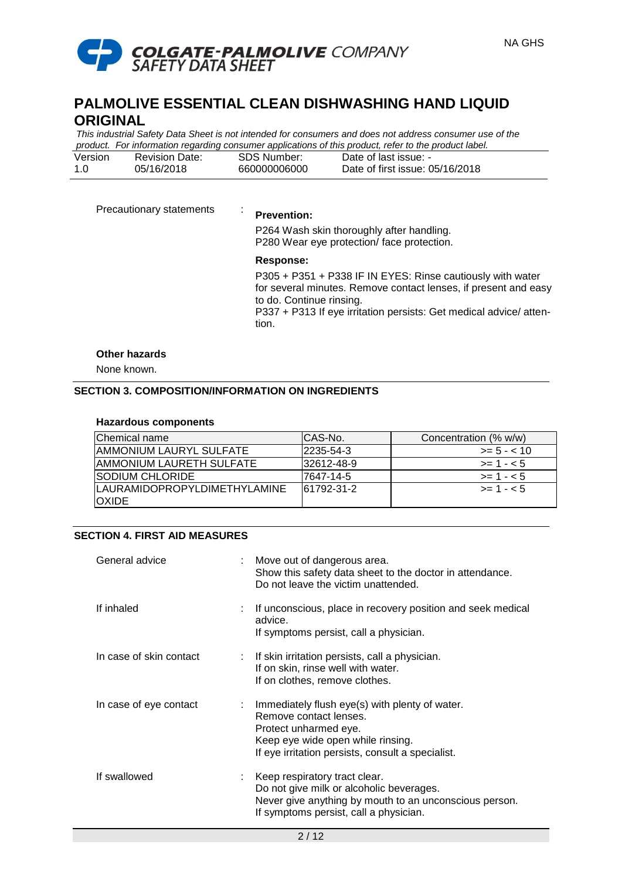

*This industrial Safety Data Sheet is not intended for consumers and does not address consumer use of the product. For information regarding consumer applications of this product, refer to the product label.*

|         |                       |              | in processes and construction to a gainering correspondence to the processes, and processes the construction |
|---------|-----------------------|--------------|--------------------------------------------------------------------------------------------------------------|
| Version | <b>Revision Date:</b> | SDS Number:  | Date of last issue: -                                                                                        |
|         | 05/16/2018            | 660000006000 | Date of first issue: 05/16/2018                                                                              |

| Precautionary statements | ٠<br><b>Prevention:</b><br>P264 Wash skin thoroughly after handling.<br>P280 Wear eye protection/ face protection.                                                                                                                                   |
|--------------------------|------------------------------------------------------------------------------------------------------------------------------------------------------------------------------------------------------------------------------------------------------|
|                          | Response:<br>P305 + P351 + P338 IF IN EYES: Rinse cautiously with water<br>for several minutes. Remove contact lenses, if present and easy<br>to do. Continue rinsing.<br>P337 + P313 If eye irritation persists: Get medical advice/atten-<br>tion. |

# **Other hazards**

None known.

# **SECTION 3. COMPOSITION/INFORMATION ON INGREDIENTS**

#### **Hazardous components**

| Chemical name                                       | ICAS-No.   | Concentration (% w/w) |
|-----------------------------------------------------|------------|-----------------------|
| AMMONIUM LAURYL SULFATE                             | 2235-54-3  | $>= 5 - < 10$         |
| AMMONIUM LAURETH SULFATE                            | 32612-48-9 | $>= 1 - 5$            |
| <b>SODIUM CHLORIDE</b>                              | 17647-14-5 | $>= 1 - 5$            |
| <b>LAURAMIDOPROPYLDIMETHYLAMINE</b><br><b>OXIDE</b> | 61792-31-2 | $>= 1 - 5$            |

### **SECTION 4. FIRST AID MEASURES**

| General advice          | Move out of dangerous area.<br>Show this safety data sheet to the doctor in attendance.<br>Do not leave the victim unattended.                                                              |
|-------------------------|---------------------------------------------------------------------------------------------------------------------------------------------------------------------------------------------|
| If inhaled              | If unconscious, place in recovery position and seek medical<br>advice.<br>If symptoms persist, call a physician.                                                                            |
| In case of skin contact | : If skin irritation persists, call a physician.<br>If on skin, rinse well with water.<br>If on clothes, remove clothes.                                                                    |
| In case of eye contact  | Immediately flush eye(s) with plenty of water.<br>Remove contact lenses.<br>Protect unharmed eye.<br>Keep eye wide open while rinsing.<br>If eye irritation persists, consult a specialist. |
| If swallowed            | : Keep respiratory tract clear.<br>Do not give milk or alcoholic beverages.<br>Never give anything by mouth to an unconscious person.<br>If symptoms persist, call a physician.             |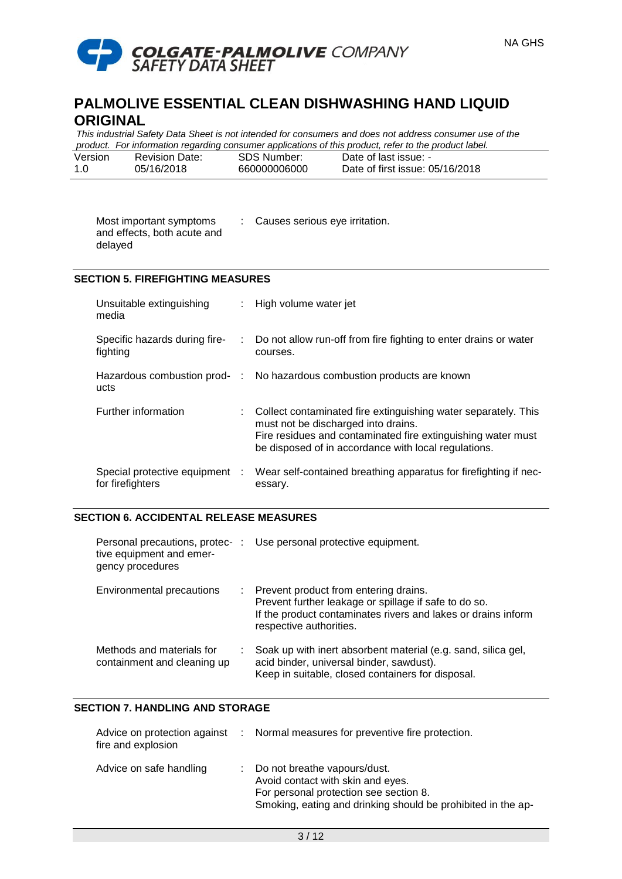

*This industrial Safety Data Sheet is not intended for consumers and does not address consumer use of the product. For information regarding consumer applications of this product, refer to the product label.*

| Version | <b>Revision Date:</b> | SDS Number:  | Date of last issue: -           |
|---------|-----------------------|--------------|---------------------------------|
| -1.0    | 05/16/2018            | 660000006000 | Date of first issue: 05/16/2018 |

| Most important symptoms<br>and effects, both acute and | Causes serious eye irritation. |
|--------------------------------------------------------|--------------------------------|
| delayed                                                |                                |

# **SECTION 5. FIREFIGHTING MEASURES**

| Unsuitable extinguishing<br>media                  | : High volume water jet                                                                                                                                                                                                         |
|----------------------------------------------------|---------------------------------------------------------------------------------------------------------------------------------------------------------------------------------------------------------------------------------|
| Specific hazards during fire-<br>fighting          | : Do not allow run-off from fire fighting to enter drains or water<br>courses.                                                                                                                                                  |
| ucts                                               | Hazardous combustion prod- : No hazardous combustion products are known                                                                                                                                                         |
| Further information                                | : Collect contaminated fire extinguishing water separately. This<br>must not be discharged into drains.<br>Fire residues and contaminated fire extinguishing water must<br>be disposed of in accordance with local regulations. |
| Special protective equipment :<br>for firefighters | Wear self-contained breathing apparatus for firefighting if nec-<br>essary.                                                                                                                                                     |

### **SECTION 6. ACCIDENTAL RELEASE MEASURES**

| tive equipment and emer-<br>gency procedures             |    | Personal precautions, protec-: Use personal protective equipment.                                                                                                                          |
|----------------------------------------------------------|----|--------------------------------------------------------------------------------------------------------------------------------------------------------------------------------------------|
| Environmental precautions                                | ÷. | Prevent product from entering drains.<br>Prevent further leakage or spillage if safe to do so.<br>If the product contaminates rivers and lakes or drains inform<br>respective authorities. |
| Methods and materials for<br>containment and cleaning up |    | Soak up with inert absorbent material (e.g. sand, silica gel,<br>acid binder, universal binder, sawdust).<br>Keep in suitable, closed containers for disposal.                             |

# **SECTION 7. HANDLING AND STORAGE**

| fire and explosion      | Advice on protection against : Normal measures for preventive fire protection.                                                                                                |
|-------------------------|-------------------------------------------------------------------------------------------------------------------------------------------------------------------------------|
| Advice on safe handling | : Do not breathe vapours/dust.<br>Avoid contact with skin and eyes.<br>For personal protection see section 8.<br>Smoking, eating and drinking should be prohibited in the ap- |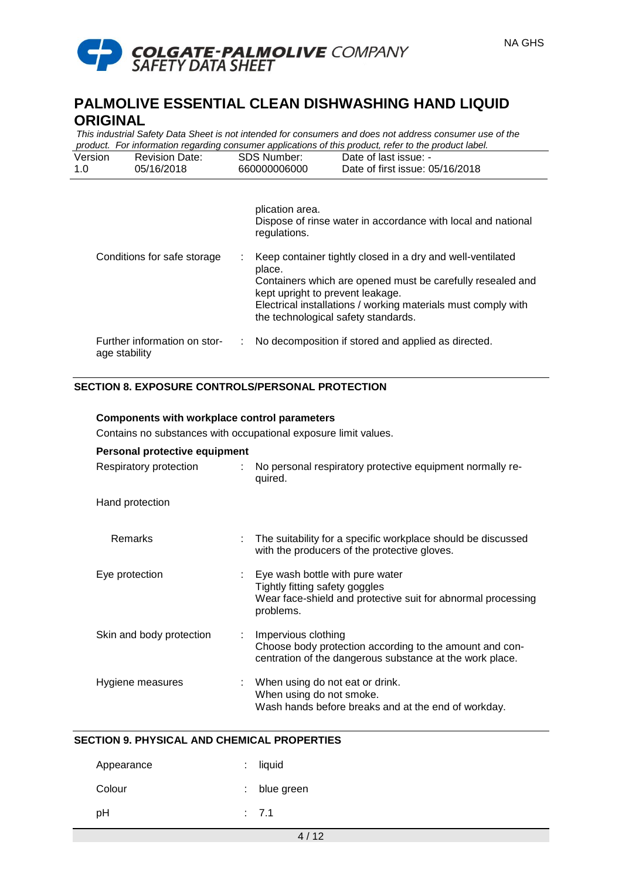

*This industrial Safety Data Sheet is not intended for consumers and does not address consumer use of the product. For information regarding consumer applications of this product, refer to the product label.*

| Version | <b>Revision Date:</b> | SDS Number:  | Date of last issue: -           |  |
|---------|-----------------------|--------------|---------------------------------|--|
| 1.0     | 05/16/2018            | 660000006000 | Date of first issue: 05/16/2018 |  |
|         |                       |              |                                 |  |

|                                                     | plication area.<br>Dispose of rinse water in accordance with local and national<br>regulations.                                                                                                                                                                                |
|-----------------------------------------------------|--------------------------------------------------------------------------------------------------------------------------------------------------------------------------------------------------------------------------------------------------------------------------------|
| Conditions for safe storage                         | Keep container tightly closed in a dry and well-ventilated<br>place.<br>Containers which are opened must be carefully resealed and<br>kept upright to prevent leakage.<br>Electrical installations / working materials must comply with<br>the technological safety standards. |
| Further information on stor-<br>÷.<br>age stability | No decomposition if stored and applied as directed.                                                                                                                                                                                                                            |

# **SECTION 8. EXPOSURE CONTROLS/PERSONAL PROTECTION**

| <b>Components with workplace control parameters</b>             |                                                                                                                                                  |  |  |  |  |
|-----------------------------------------------------------------|--------------------------------------------------------------------------------------------------------------------------------------------------|--|--|--|--|
| Contains no substances with occupational exposure limit values. |                                                                                                                                                  |  |  |  |  |
| Personal protective equipment                                   |                                                                                                                                                  |  |  |  |  |
| Respiratory protection<br>÷.                                    | No personal respiratory protective equipment normally re-<br>quired.                                                                             |  |  |  |  |
| Hand protection                                                 |                                                                                                                                                  |  |  |  |  |
| Remarks                                                         | The suitability for a specific workplace should be discussed<br>with the producers of the protective gloves.                                     |  |  |  |  |
| Eye protection                                                  | : Eye wash bottle with pure water<br>Tightly fitting safety goggles<br>Wear face-shield and protective suit for abnormal processing<br>problems. |  |  |  |  |
| Skin and body protection                                        | : Impervious clothing<br>Choose body protection according to the amount and con-<br>centration of the dangerous substance at the work place.     |  |  |  |  |
| Hygiene measures                                                | : When using do not eat or drink.<br>When using do not smoke.<br>Wash hands before breaks and at the end of workday.                             |  |  |  |  |

# **SECTION 9. PHYSICAL AND CHEMICAL PROPERTIES**

| Appearance | $:$ liquid   |
|------------|--------------|
| Colour     | : blue green |
| рH         | : 7.1        |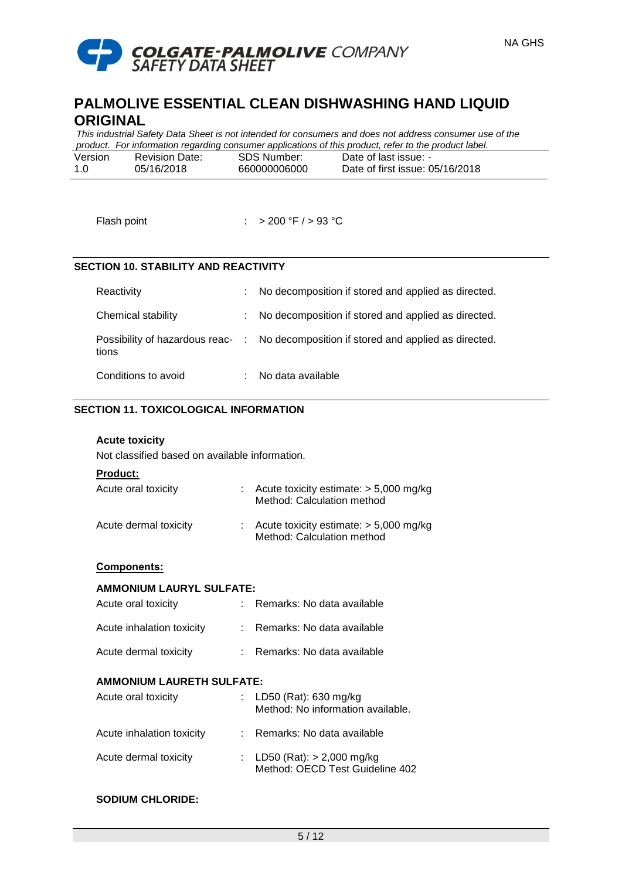

*This industrial Safety Data Sheet is not intended for consumers and does not address consumer use of the product. For information regarding consumer applications of this product, refer to the product label.*

| Version | <b>Revision Date:</b> | SDS Number:  | Date of last issue: -           |
|---------|-----------------------|--------------|---------------------------------|
| -1.0    | 05/16/2018            | 660000006000 | Date of first issue: 05/16/2018 |

Flash point : > 200 °F / > 93 °C

### **SECTION 10. STABILITY AND REACTIVITY**

| Reactivity          |    | No decomposition if stored and applied as directed.                                  |
|---------------------|----|--------------------------------------------------------------------------------------|
| Chemical stability  | ÷. | No decomposition if stored and applied as directed.                                  |
| tions               |    | Possibility of hazardous reac- : No decomposition if stored and applied as directed. |
| Conditions to avoid |    | No data available                                                                    |

# **SECTION 11. TOXICOLOGICAL INFORMATION**

# **Acute toxicity**

Not classified based on available information.

# **Product:**

| Acute oral toxicity   | : Acute toxicity estimate: $> 5,000$ mg/kg<br>Method: Calculation method            |
|-----------------------|-------------------------------------------------------------------------------------|
| Acute dermal toxicity | $\therefore$ Acute toxicity estimate: $>$ 5,000 mg/kg<br>Method: Calculation method |

#### **Components:**

#### **AMMONIUM LAURYL SULFATE:**

| Acute oral toxicity       | : Remarks: No data available |
|---------------------------|------------------------------|
| Acute inhalation toxicity | : Remarks: No data available |
| Acute dermal toxicity     | : Remarks: No data available |

### **AMMONIUM LAURETH SULFATE:**

| Acute oral toxicity       | : LD50 (Rat): 630 mg/kg<br>Method: No information available.     |
|---------------------------|------------------------------------------------------------------|
| Acute inhalation toxicity | : Remarks: No data available                                     |
| Acute dermal toxicity     | : LD50 (Rat): $> 2,000$ mg/kg<br>Method: OECD Test Guideline 402 |

#### **SODIUM CHLORIDE:**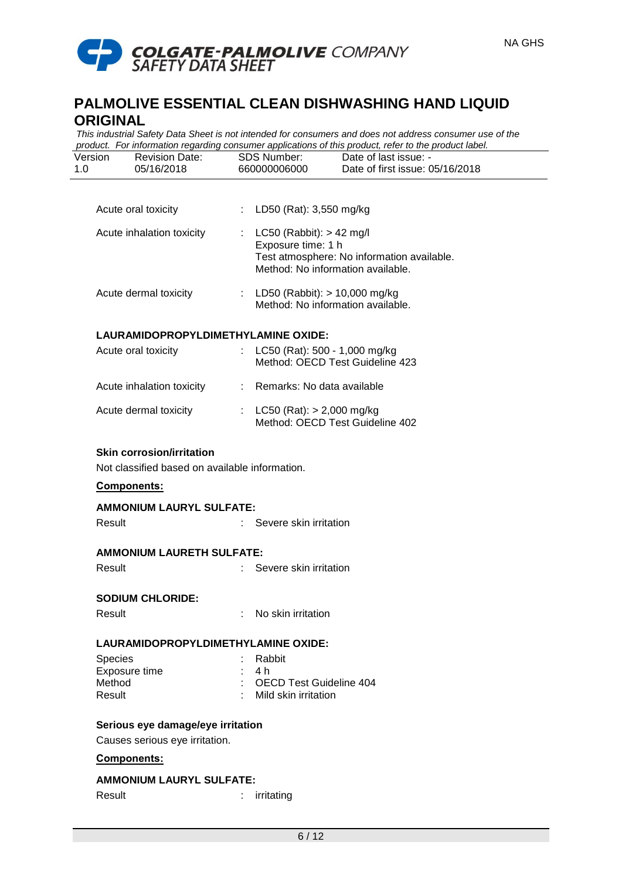

*This industrial Safety Data Sheet is not intended for consumers and does not address consumer use of the product. For information regarding consumer applications of this product, refer to the product label.*

| Version | <b>Revision Date:</b> | SDS Number:  | Date of last issue: -           |
|---------|-----------------------|--------------|---------------------------------|
| 1.0     | 05/16/2018            | 660000006000 | Date of first issue: 05/16/2018 |
|         |                       |              |                                 |

| Acute inhalation toxicity | : $LC50$ (Rabbit): $> 42$ mg/l<br>Exposure time: 1 h<br>Test atmosphere: No information available.<br>Method: No information available. |
|---------------------------|-----------------------------------------------------------------------------------------------------------------------------------------|
| Acute dermal toxicity     | : LD50 (Rabbit): $> 10.000$ mg/kg                                                                                                       |

| <b>TUULU UUTTIU LUAIUILY</b> | $L$ DJO (MaDDIL). $> 10,000$ Highly |
|------------------------------|-------------------------------------|
|                              | Method: No information available.   |
|                              |                                     |

Acute oral toxicity : LD50 (Rat): 3,550 mg/kg

### **LAURAMIDOPROPYLDIMETHYLAMINE OXIDE:**

| Acute oral toxicity       | : LC50 (Rat): 500 - 1,000 mg/kg<br>Method: OECD Test Guideline 423 |
|---------------------------|--------------------------------------------------------------------|
| Acute inhalation toxicity | : Remarks: No data available                                       |
| Acute dermal toxicity     | : LC50 (Rat): $> 2,000$ mg/kg<br>Method: OECD Test Guideline 402   |

# **Skin corrosion/irritation**

Not classified based on available information.

### **Components:**

| <b>AMMONIUM LAURYL SULFATE:</b>     |                         |
|-------------------------------------|-------------------------|
| Result                              | Severe skin irritation  |
| <b>AMMONIUM LAURETH SULFATE:</b>    |                         |
| Result                              | Severe skin irritation  |
| <b>SODIUM CHLORIDE:</b>             |                         |
| Result                              | No skin irritation      |
| LAURAMIDOPROPYLDIMETHYLAMINE OXIDE: |                         |
| <b>Species</b>                      | Rabbit                  |
| Exposure time                       | 4 h                     |
| Method                              | OECD Test Guideline 404 |
| Result                              | Mild skin irritation    |

# **Serious eye damage/eye irritation**

Causes serious eye irritation.

# **Components:**

# **AMMONIUM LAURYL SULFATE:**

Result : irritating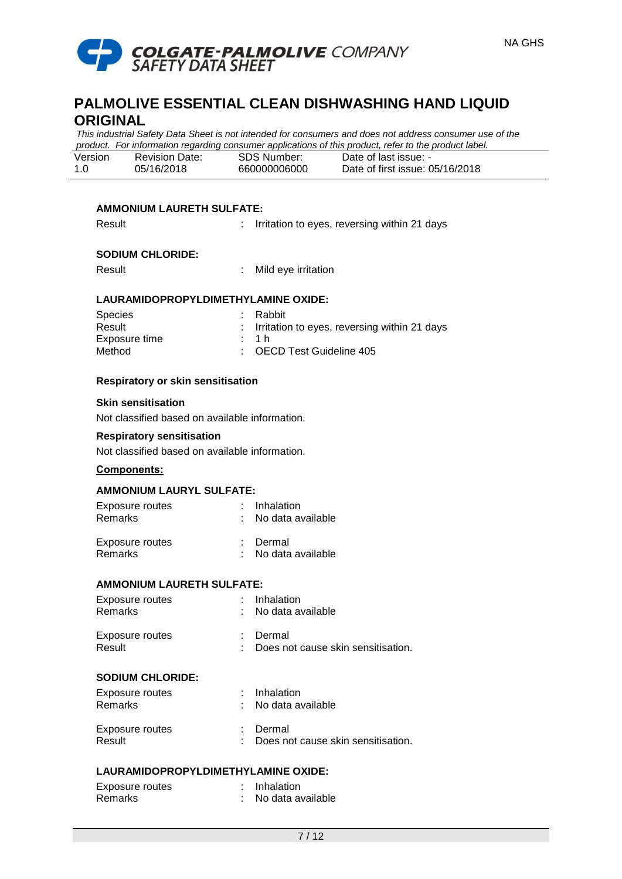

*This industrial Safety Data Sheet is not intended for consumers and does not address consumer use of the product. For information regarding consumer applications of this product, refer to the product label.*

| Version | <b>Revision Date:</b> | SDS Number:  | Date of last issue: -           |
|---------|-----------------------|--------------|---------------------------------|
| 1.0     | 05/16/2018            | 660000006000 | Date of first issue: 05/16/2018 |

### **AMMONIUM LAURETH SULFATE:**

| Result |  | Irritation to eyes, reversing within 21 days |  |  |  |
|--------|--|----------------------------------------------|--|--|--|
|--------|--|----------------------------------------------|--|--|--|

#### **SODIUM CHLORIDE:**

Result : Mild eye irritation

### **LAURAMIDOPROPYLDIMETHYLAMINE OXIDE:**

| <b>Species</b> | : Rabbit                                       |
|----------------|------------------------------------------------|
| Result         | : Irritation to eyes, reversing within 21 days |
| Exposure time  | $\cdot$ 1 h                                    |
| Method         | : OECD Test Guideline 405                      |

### **Respiratory or skin sensitisation**

#### **Skin sensitisation**

Not classified based on available information.

#### **Respiratory sensitisation**

Not classified based on available information.

# **Components:**

#### **AMMONIUM LAURYL SULFATE:**

| Exposure routes | : Inhalation      |
|-----------------|-------------------|
| Remarks         | No data available |
| Exposure routes | : Dermal          |
| Remarks         | No data available |

#### **AMMONIUM LAURETH SULFATE:**

| Exposure routes<br><b>Remarks</b> | $:$ Inhalation<br>: No data available          |
|-----------------------------------|------------------------------------------------|
| Exposure routes<br>Result         | : Dermal<br>Does not cause skin sensitisation. |

#### **SODIUM CHLORIDE:**

| Exposure routes<br><b>Remarks</b> | : Inhalation<br>: No data available              |
|-----------------------------------|--------------------------------------------------|
| Exposure routes<br>Result         | : Dermal<br>: Does not cause skin sensitisation. |

#### **LAURAMIDOPROPYLDIMETHYLAMINE OXIDE:**

| Exposure routes | : Inhalation      |
|-----------------|-------------------|
| Remarks         | No data available |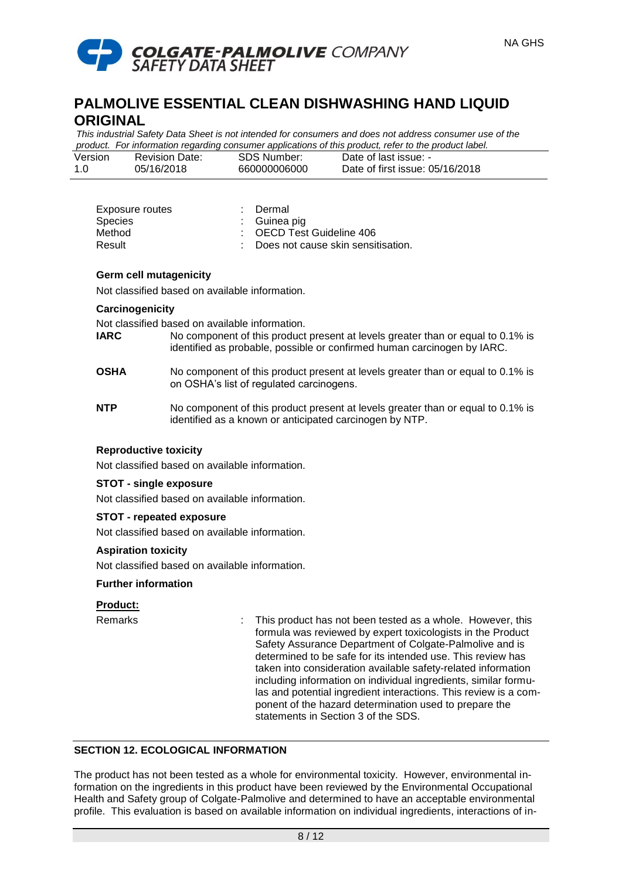

*This industrial Safety Data Sheet is not intended for consumers and does not address consumer use of the product. For information regarding consumer applications of this product, refer to the product label.*

| Version | <b>Revision Date:</b> | SDS Number:  | Date of last issue: -           |
|---------|-----------------------|--------------|---------------------------------|
| -1.0    | 05/16/2018            | 660000006000 | Date of first issue: 05/16/2018 |

| Exposure routes<br>Species | : Dermal<br>$\therefore$ Guinea pig  |
|----------------------------|--------------------------------------|
| Method                     | : OECD Test Guideline 406            |
| Result                     | : Does not cause skin sensitisation. |

### **Germ cell mutagenicity**

Not classified based on available information.

# **Carcinogenicity**

Not classified based on available information.

**IARC** No component of this product present at levels greater than or equal to 0.1% is identified as probable, possible or confirmed human carcinogen by IARC.

### **OSHA** No component of this product present at levels greater than or equal to 0.1% is on OSHA's list of regulated carcinogens.

**NTP** No component of this product present at levels greater than or equal to 0.1% is identified as a known or anticipated carcinogen by NTP.

# **Reproductive toxicity**

Not classified based on available information.

# **STOT - single exposure**

Not classified based on available information.

# **STOT - repeated exposure**

Not classified based on available information.

#### **Aspiration toxicity**

Not classified based on available information.

# **Further information**

#### **Product:**

Remarks : This product has not been tested as a whole. However, this formula was reviewed by expert toxicologists in the Product Safety Assurance Department of Colgate-Palmolive and is determined to be safe for its intended use. This review has taken into consideration available safety-related information including information on individual ingredients, similar formulas and potential ingredient interactions. This review is a component of the hazard determination used to prepare the statements in Section 3 of the SDS.

# **SECTION 12. ECOLOGICAL INFORMATION**

The product has not been tested as a whole for environmental toxicity. However, environmental information on the ingredients in this product have been reviewed by the Environmental Occupational Health and Safety group of Colgate-Palmolive and determined to have an acceptable environmental profile. This evaluation is based on available information on individual ingredients, interactions of in-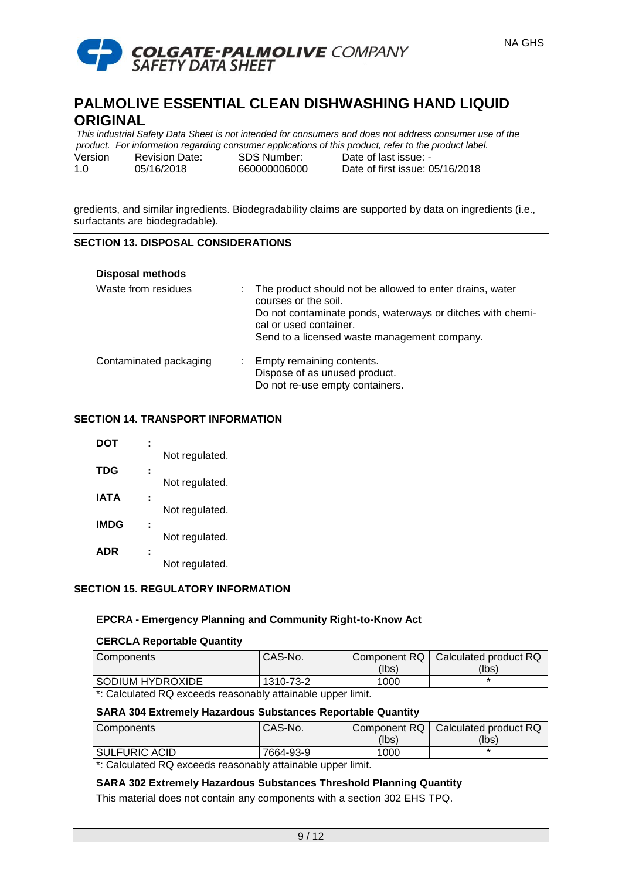

| This industrial Safety Data Sheet is not intended for consumers and does not address consumer use of the |                       |              |                                 |  |  |
|----------------------------------------------------------------------------------------------------------|-----------------------|--------------|---------------------------------|--|--|
| product. For information regarding consumer applications of this product, refer to the product label.    |                       |              |                                 |  |  |
| Version                                                                                                  | <b>Revision Date:</b> | SDS Number:  | Date of last issue: -           |  |  |
| 1.0                                                                                                      | 05/16/2018            | 660000006000 | Date of first issue: 05/16/2018 |  |  |

gredients, and similar ingredients. Biodegradability claims are supported by data on ingredients (i.e., surfactants are biodegradable).

# **SECTION 13. DISPOSAL CONSIDERATIONS**

| <b>Disposal methods</b> |                                                                                                                                                                                                                          |
|-------------------------|--------------------------------------------------------------------------------------------------------------------------------------------------------------------------------------------------------------------------|
| Waste from residues     | The product should not be allowed to enter drains, water<br>courses or the soil.<br>Do not contaminate ponds, waterways or ditches with chemi-<br>cal or used container.<br>Send to a licensed waste management company. |
| Contaminated packaging  | : Empty remaining contents.<br>Dispose of as unused product.<br>Do not re-use empty containers.                                                                                                                          |

### **SECTION 14. TRANSPORT INFORMATION**

| DOT        |                |
|------------|----------------|
|            | Not regulated. |
| <b>TDG</b> |                |
|            | Not regulated. |
| IATA       |                |
|            | Not regulated. |
| IMDG       |                |
|            | Not regulated. |
| ADR        |                |
|            | Not regulated. |
|            |                |

# **SECTION 15. REGULATORY INFORMATION**

# **EPCRA - Emergency Planning and Community Right-to-Know Act**

#### **CERCLA Reportable Quantity**

| Components                                                             | CAS-No.   |       | Component RQ   Calculated product RQ |
|------------------------------------------------------------------------|-----------|-------|--------------------------------------|
|                                                                        |           | (lbs) | (Ibs)                                |
| SODIUM HYDROXIDE                                                       | 1310-73-2 | 1000  |                                      |
| $\star$ . Ostailata il DO sinas ala nascanaliti attakelela innosa Kadr |           |       |                                      |

\*: Calculated RQ exceeds reasonably attainable upper limit.

#### **SARA 304 Extremely Hazardous Substances Reportable Quantity**

| Components           | CAS-No.   |       | Component RQ   Calculated product RQ |
|----------------------|-----------|-------|--------------------------------------|
|                      |           | (lbs) | (lbs)                                |
| <b>SULFURIC ACID</b> | 7664-93-9 | 1000  |                                      |

\*: Calculated RQ exceeds reasonably attainable upper limit.

# **SARA 302 Extremely Hazardous Substances Threshold Planning Quantity**

This material does not contain any components with a section 302 EHS TPQ.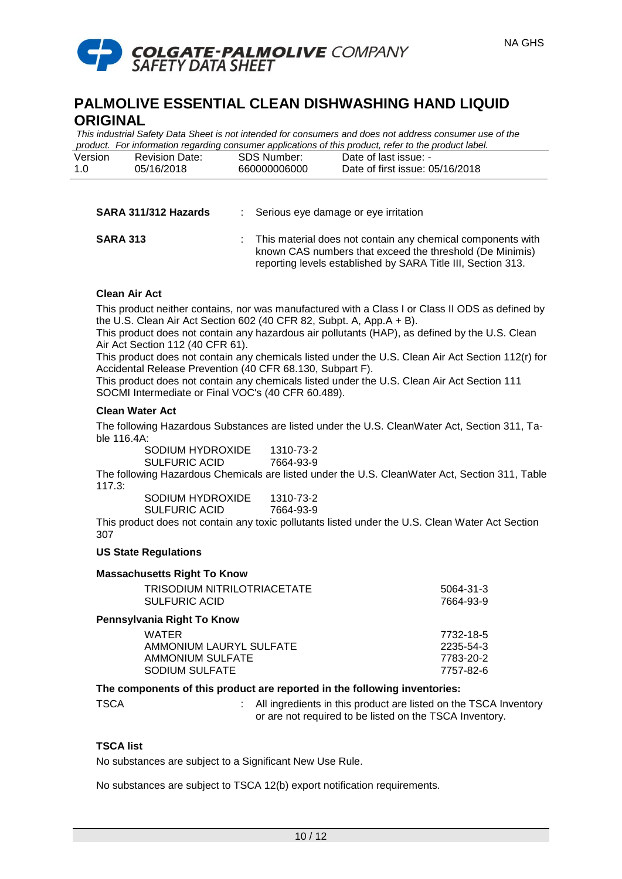

*This industrial Safety Data Sheet is not intended for consumers and does not address consumer use of the product. For information regarding consumer applications of this product, refer to the product label.*

| Version | <b>Revision Date:</b> | SDS Number:  | Date of last issue: -           |
|---------|-----------------------|--------------|---------------------------------|
| 1.0     | 05/16/2018            | 660000006000 | Date of first issue: 05/16/2018 |

| SARA 311/312 Hazards | Serious eye damage or eye irritation |
|----------------------|--------------------------------------|
|                      |                                      |

**SARA 313** : This material does not contain any chemical components with known CAS numbers that exceed the threshold (De Minimis) reporting levels established by SARA Title III, Section 313.

# **Clean Air Act**

This product neither contains, nor was manufactured with a Class I or Class II ODS as defined by the U.S. Clean Air Act Section 602 (40 CFR 82, Subpt. A, App.A + B).

This product does not contain any hazardous air pollutants (HAP), as defined by the U.S. Clean Air Act Section 112 (40 CFR 61).

This product does not contain any chemicals listed under the U.S. Clean Air Act Section 112(r) for Accidental Release Prevention (40 CFR 68.130, Subpart F).

This product does not contain any chemicals listed under the U.S. Clean Air Act Section 111 SOCMI Intermediate or Final VOC's (40 CFR 60.489).

# **Clean Water Act**

The following Hazardous Substances are listed under the U.S. CleanWater Act, Section 311, Table 116.4A:

| SODIUM HYDROXIDE | 1310-73-2 |
|------------------|-----------|
| SULFURIC ACID    | 7664-93-9 |
|                  |           |

The following Hazardous Chemicals are listed under the U.S. CleanWater Act, Section 311, Table 117.3:

| SODIUM HYDROXIDE     | 1310-73-2 |
|----------------------|-----------|
| <b>SULFURIC ACID</b> | 7664-93-9 |

This product does not contain any toxic pollutants listed under the U.S. Clean Water Act Section 307

# **US State Regulations**

| <b>Massachusetts Right To Know</b>                  |                        |
|-----------------------------------------------------|------------------------|
| TRISODIUM NITRILOTRIACETATE<br><b>SULFURIC ACID</b> | 5064-31-3<br>7664-93-9 |
| Pennsylvania Right To Know                          |                        |
| <b>WATER</b>                                        | 7732-18-5              |
| AMMONIUM LAURYL SULFATE                             | 2235-54-3              |
| <b>AMMONIUM SULFATE</b>                             | 7783-20-2              |
| <b>SODIUM SULFATE</b>                               | 7757-82-6              |
|                                                     |                        |

#### **The components of this product are reported in the following inventories:**

TSCA : All ingredients in this product are listed on the TSCA Inventory or are not required to be listed on the TSCA Inventory.

# **TSCA list**

No substances are subject to a Significant New Use Rule.

No substances are subject to TSCA 12(b) export notification requirements.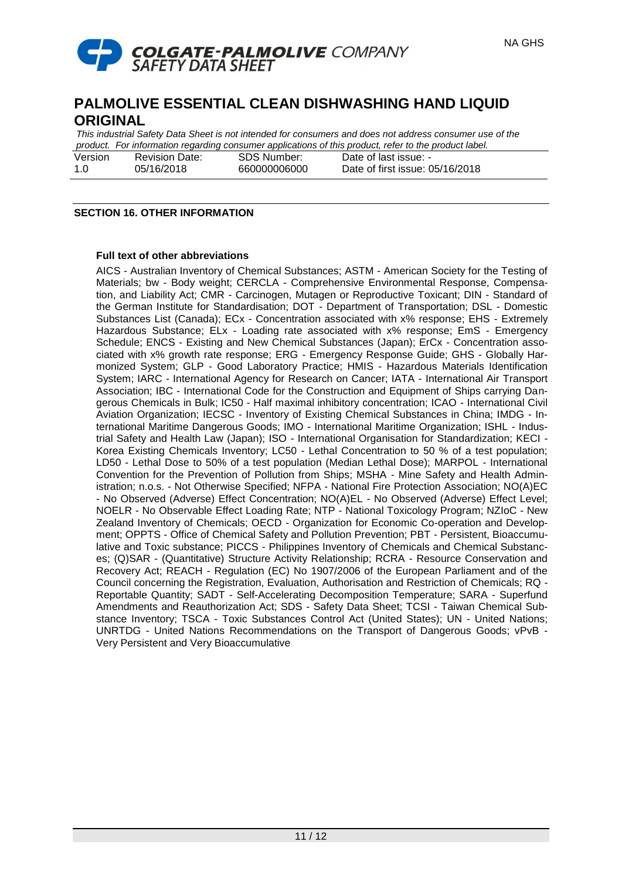

*This industrial Safety Data Sheet is not intended for consumers and does not address consumer use of the product. For information regarding consumer applications of this product, refer to the product label.* Version Revision Date: 05/16/2018 SDS Number: 660000006000 Date of last issue: - Date of first issue: 05/16/2018

# **SECTION 16. OTHER INFORMATION**

1.0

### **Full text of other abbreviations**

AICS - Australian Inventory of Chemical Substances; ASTM - American Society for the Testing of Materials; bw - Body weight; CERCLA - Comprehensive Environmental Response, Compensation, and Liability Act; CMR - Carcinogen, Mutagen or Reproductive Toxicant; DIN - Standard of the German Institute for Standardisation; DOT - Department of Transportation; DSL - Domestic Substances List (Canada); ECx - Concentration associated with x% response; EHS - Extremely Hazardous Substance; ELx - Loading rate associated with x% response; EmS - Emergency Schedule; ENCS - Existing and New Chemical Substances (Japan); ErCx - Concentration associated with x% growth rate response; ERG - Emergency Response Guide; GHS - Globally Harmonized System; GLP - Good Laboratory Practice; HMIS - Hazardous Materials Identification System; IARC - International Agency for Research on Cancer; IATA - International Air Transport Association; IBC - International Code for the Construction and Equipment of Ships carrying Dangerous Chemicals in Bulk; IC50 - Half maximal inhibitory concentration; ICAO - International Civil Aviation Organization; IECSC - Inventory of Existing Chemical Substances in China; IMDG - International Maritime Dangerous Goods; IMO - International Maritime Organization; ISHL - Industrial Safety and Health Law (Japan); ISO - International Organisation for Standardization; KECI - Korea Existing Chemicals Inventory; LC50 - Lethal Concentration to 50 % of a test population; LD50 - Lethal Dose to 50% of a test population (Median Lethal Dose); MARPOL - International Convention for the Prevention of Pollution from Ships; MSHA - Mine Safety and Health Administration; n.o.s. - Not Otherwise Specified; NFPA - National Fire Protection Association; NO(A)EC - No Observed (Adverse) Effect Concentration; NO(A)EL - No Observed (Adverse) Effect Level; NOELR - No Observable Effect Loading Rate; NTP - National Toxicology Program; NZIoC - New Zealand Inventory of Chemicals; OECD - Organization for Economic Co-operation and Development; OPPTS - Office of Chemical Safety and Pollution Prevention; PBT - Persistent, Bioaccumulative and Toxic substance; PICCS - Philippines Inventory of Chemicals and Chemical Substances; (Q)SAR - (Quantitative) Structure Activity Relationship; RCRA - Resource Conservation and Recovery Act; REACH - Regulation (EC) No 1907/2006 of the European Parliament and of the Council concerning the Registration, Evaluation, Authorisation and Restriction of Chemicals; RQ - Reportable Quantity; SADT - Self-Accelerating Decomposition Temperature; SARA - Superfund Amendments and Reauthorization Act; SDS - Safety Data Sheet; TCSI - Taiwan Chemical Substance Inventory; TSCA - Toxic Substances Control Act (United States); UN - United Nations; UNRTDG - United Nations Recommendations on the Transport of Dangerous Goods; vPvB - Very Persistent and Very Bioaccumulative